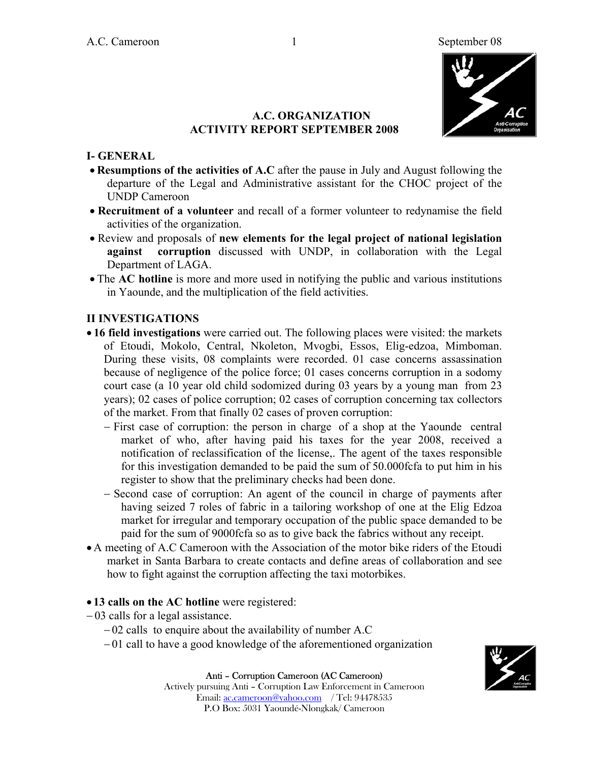

#### **A.C. ORGANIZATION ACTIVITY REPORT SEPTEMBER 2008**

#### **I- GENERAL**

- **Resumptions of the activities of A.C** after the pause in July and August following the departure of the Legal and Administrative assistant for the CHOC project of the UNDP Cameroon
- **Recruitment of a volunteer** and recall of a former volunteer to redynamise the field activities of the organization.
- Review and proposals of **new elements for the legal project of national legislation against corruption** discussed with UNDP, in collaboration with the Legal Department of LAGA.
- The **AC hotline** is more and more used in notifying the public and various institutions in Yaounde, and the multiplication of the field activities.

#### **II INVESTIGATIONS**

- **16 field investigations** were carried out. The following places were visited: the markets of Etoudi, Mokolo, Central, Nkoleton, Mvogbi, Essos, Elig-edzoa, Mimboman. During these visits, 08 complaints were recorded. 01 case concerns assassination because of negligence of the police force; 01 cases concerns corruption in a sodomy court case (a 10 year old child sodomized during 03 years by a young man from 23 years); 02 cases of police corruption; 02 cases of corruption concerning tax collectors of the market. From that finally 02 cases of proven corruption:
	- − First case of corruption: the person in charge of a shop at the Yaounde central market of who, after having paid his taxes for the year 2008, received a notification of reclassification of the license,. The agent of the taxes responsible for this investigation demanded to be paid the sum of 50.000fcfa to put him in his register to show that the preliminary checks had been done.
	- − Second case of corruption: An agent of the council in charge of payments after having seized 7 roles of fabric in a tailoring workshop of one at the Elig Edzoa market for irregular and temporary occupation of the public space demanded to be paid for the sum of 9000fcfa so as to give back the fabrics without any receipt.
- A meeting of A.C Cameroon with the Association of the motor bike riders of the Etoudi market in Santa Barbara to create contacts and define areas of collaboration and see how to fight against the corruption affecting the taxi motorbikes.
- **13 calls on the AC hotline** were registered:
- − 03 calls for a legal assistance.
	- − 02 calls to enquire about the availability of number A.C
	- − 01 call to have a good knowledge of the aforementioned organization





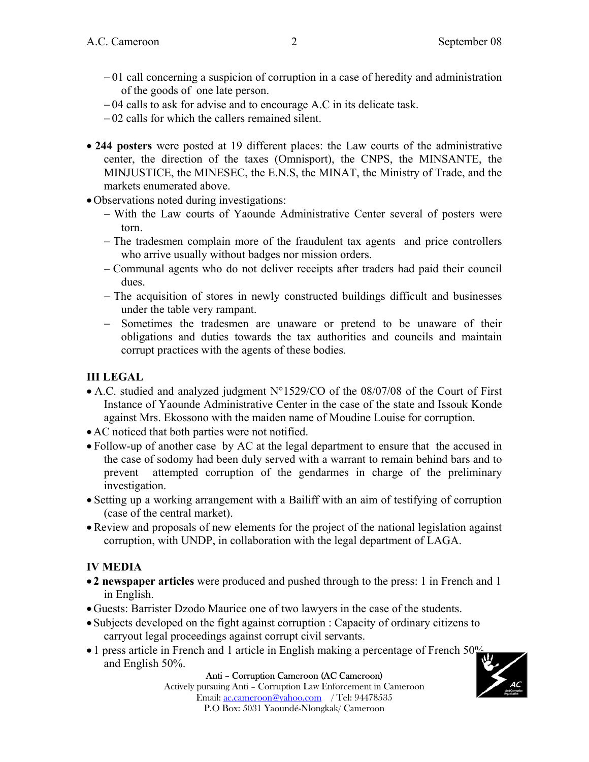- − 01 call concerning a suspicion of corruption in a case of heredity and administration of the goods of one late person.
- − 04 calls to ask for advise and to encourage A.C in its delicate task.
- − 02 calls for which the callers remained silent.
- **244 posters** were posted at 19 different places: the Law courts of the administrative center, the direction of the taxes (Omnisport), the CNPS, the MINSANTE, the MINJUSTICE, the MINESEC, the E.N.S, the MINAT, the Ministry of Trade, and the markets enumerated above.
- Observations noted during investigations:
	- − With the Law courts of Yaounde Administrative Center several of posters were torn.
	- − The tradesmen complain more of the fraudulent tax agents and price controllers who arrive usually without badges nor mission orders.
	- − Communal agents who do not deliver receipts after traders had paid their council dues.
	- − The acquisition of stores in newly constructed buildings difficult and businesses under the table very rampant.
	- − Sometimes the tradesmen are unaware or pretend to be unaware of their obligations and duties towards the tax authorities and councils and maintain corrupt practices with the agents of these bodies.

### **III LEGAL**

- A.C. studied and analyzed judgment N°1529/CO of the 08/07/08 of the Court of First Instance of Yaounde Administrative Center in the case of the state and Issouk Konde against Mrs. Ekossono with the maiden name of Moudine Louise for corruption.
- AC noticed that both parties were not notified.
- Follow-up of another case by AC at the legal department to ensure that the accused in the case of sodomy had been duly served with a warrant to remain behind bars and to prevent attempted corruption of the gendarmes in charge of the preliminary investigation.
- Setting up a working arrangement with a Bailiff with an aim of testifying of corruption (case of the central market).
- Review and proposals of new elements for the project of the national legislation against corruption, with UNDP, in collaboration with the legal department of LAGA.

## **IV MEDIA**

- **2 newspaper articles** were produced and pushed through to the press: 1 in French and 1 in English.
- Guests: Barrister Dzodo Maurice one of two lawyers in the case of the students.
- Subjects developed on the fight against corruption : Capacity of ordinary citizens to carryout legal proceedings against corrupt civil servants.
- 1 press article in French and 1 article in English making a percentage of French 50% and English 50%.

#### Anti – Corruption Cameroon (AC Cameroon)

Actively pursuing Anti – Corruption Law Enforcement in Cameroon Email: ac.cameroon@yahoo.com / Tel: 94478535 P.O Box: 5031 Yaoundé-Nlongkak/ Cameroon

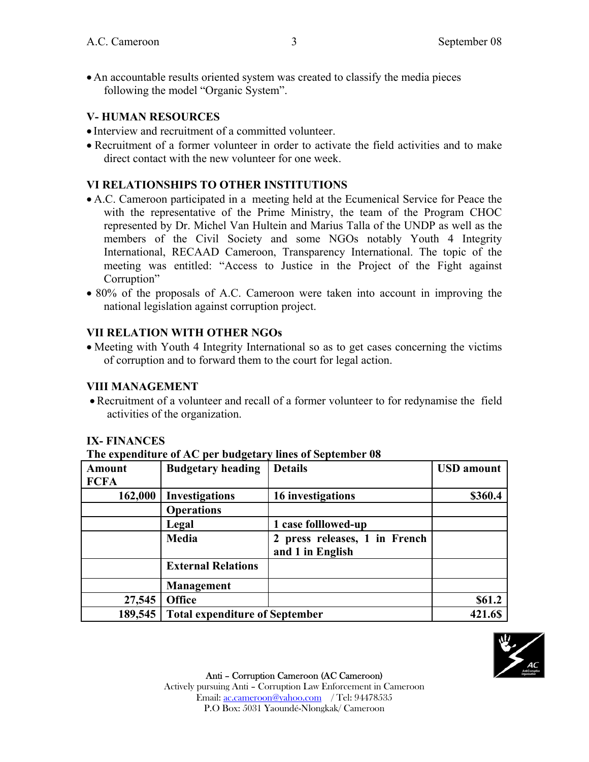• An accountable results oriented system was created to classify the media pieces following the model "Organic System".

### **V- HUMAN RESOURCES**

- Interview and recruitment of a committed volunteer.
- Recruitment of a former volunteer in order to activate the field activities and to make direct contact with the new volunteer for one week.

### **VI RELATIONSHIPS TO OTHER INSTITUTIONS**

- A.C. Cameroon participated in a meeting held at the Ecumenical Service for Peace the with the representative of the Prime Ministry, the team of the Program CHOC represented by Dr. Michel Van Hultein and Marius Talla of the UNDP as well as the members of the Civil Society and some NGOs notably Youth 4 Integrity International, RECAAD Cameroon, Transparency International. The topic of the meeting was entitled: "Access to Justice in the Project of the Fight against Corruption"
- 80% of the proposals of A.C. Cameroon were taken into account in improving the national legislation against corruption project.

### **VII RELATION WITH OTHER NGOs**

• Meeting with Youth 4 Integrity International so as to get cases concerning the victims of corruption and to forward them to the court for legal action.

### **VIII MANAGEMENT**

•Recruitment of a volunteer and recall of a former volunteer to for redynamise the field activities of the organization.

### **IX- FINANCES**

**The expenditure of AC per budgetary lines of September 08** 

| <b>Amount</b> | <b>Budgetary heading</b>              | <b>Details</b>              | <b>USD</b> amount |
|---------------|---------------------------------------|-----------------------------|-------------------|
| <b>FCFA</b>   |                                       |                             |                   |
| 162,000       | <b>Investigations</b>                 | 16 investigations           | \$360.4           |
|               | <b>Operations</b>                     |                             |                   |
|               | Legal                                 | 1 case folllowed-up         |                   |
|               | Media                                 | press releases, 1 in French |                   |
|               |                                       | and 1 in English            |                   |
|               | <b>External Relations</b>             |                             |                   |
|               | <b>Management</b>                     |                             |                   |
| 27,545        | <b>Office</b>                         |                             | \$61.2            |
| 189,545       | <b>Total expenditure of September</b> |                             | 421.6\$           |